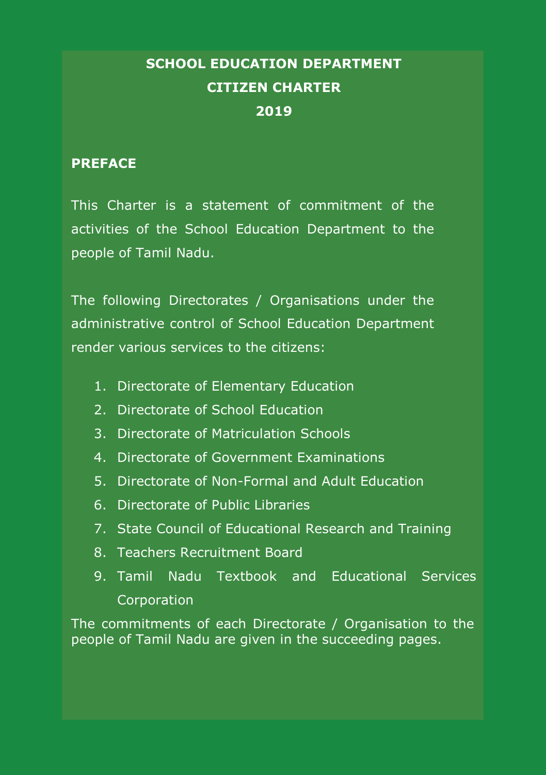# **SCHOOL EDUCATION DEPARTMENT CITIZEN CHARTER 2019**

#### **PREFACE**

This Charter is a statement of commitment of the activities of the School Education Department to the people of Tamil Nadu.

The following Directorates / Organisations under the administrative control of School Education Department render various services to the citizens:

- 1. Directorate of Elementary Education
- 2. Directorate of School Education
- 3. Directorate of Matriculation Schools
- 4. Directorate of Government Examinations
- 5. Directorate of Non-Formal and Adult Education
- 6. Directorate of Public Libraries
- 7. State Council of Educational Research and Training
- 8. Teachers Recruitment Board
- 9. Tamil Nadu Textbook and Educational Services **Corporation**

The commitments of each Directorate / Organisation to the people of Tamil Nadu are given in the succeeding pages.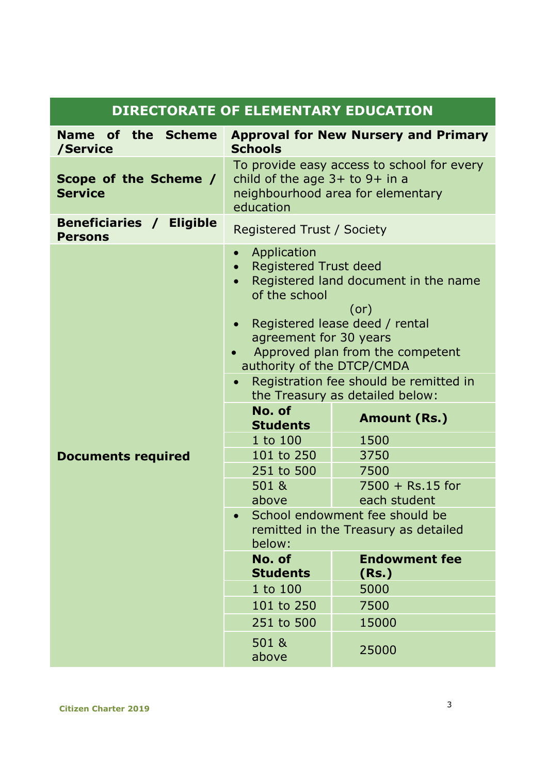| <b>DIRECTORATE OF ELEMENTARY EDUCATION</b> |                                                                                                                                                                                                                                                                                                                                                                                          |                                             |  |
|--------------------------------------------|------------------------------------------------------------------------------------------------------------------------------------------------------------------------------------------------------------------------------------------------------------------------------------------------------------------------------------------------------------------------------------------|---------------------------------------------|--|
| Name of the Scheme<br>/Service             | <b>Schools</b>                                                                                                                                                                                                                                                                                                                                                                           | <b>Approval for New Nursery and Primary</b> |  |
| Scope of the Scheme /<br><b>Service</b>    | To provide easy access to school for every<br>child of the age $3+$ to $9+$ in a<br>neighbourhood area for elementary<br>education                                                                                                                                                                                                                                                       |                                             |  |
| Beneficiaries / Eligible<br><b>Persons</b> | Registered Trust / Society                                                                                                                                                                                                                                                                                                                                                               |                                             |  |
|                                            | Application<br>$\bullet$<br><b>Registered Trust deed</b><br>$\bullet$<br>Registered land document in the name<br>$\bullet$<br>of the school<br>(or)<br>Registered lease deed / rental<br>$\bullet$<br>agreement for 30 years<br>Approved plan from the competent<br>$\bullet$<br>authority of the DTCP/CMDA<br>Registration fee should be remitted in<br>the Treasury as detailed below: |                                             |  |
|                                            | No. of<br><b>Students</b>                                                                                                                                                                                                                                                                                                                                                                | Amount (Rs.)                                |  |
|                                            | 1 to 100                                                                                                                                                                                                                                                                                                                                                                                 | 1500                                        |  |
| <b>Documents required</b>                  | 101 to 250                                                                                                                                                                                                                                                                                                                                                                               | 3750                                        |  |
|                                            | 251 to 500                                                                                                                                                                                                                                                                                                                                                                               | 7500                                        |  |
|                                            | 501 &<br>above                                                                                                                                                                                                                                                                                                                                                                           | $7500 + Rs.15$ for<br>each student          |  |
|                                            | School endowment fee should be<br>remitted in the Treasury as detailed<br>below:                                                                                                                                                                                                                                                                                                         |                                             |  |
|                                            | No. of<br><b>Students</b>                                                                                                                                                                                                                                                                                                                                                                | <b>Endowment fee</b><br>(Rs.)               |  |
|                                            | 1 to 100                                                                                                                                                                                                                                                                                                                                                                                 | 5000                                        |  |
|                                            | 101 to 250                                                                                                                                                                                                                                                                                                                                                                               | 7500                                        |  |
|                                            | 251 to 500                                                                                                                                                                                                                                                                                                                                                                               | 15000                                       |  |
|                                            | 501 &<br>above                                                                                                                                                                                                                                                                                                                                                                           | 25000                                       |  |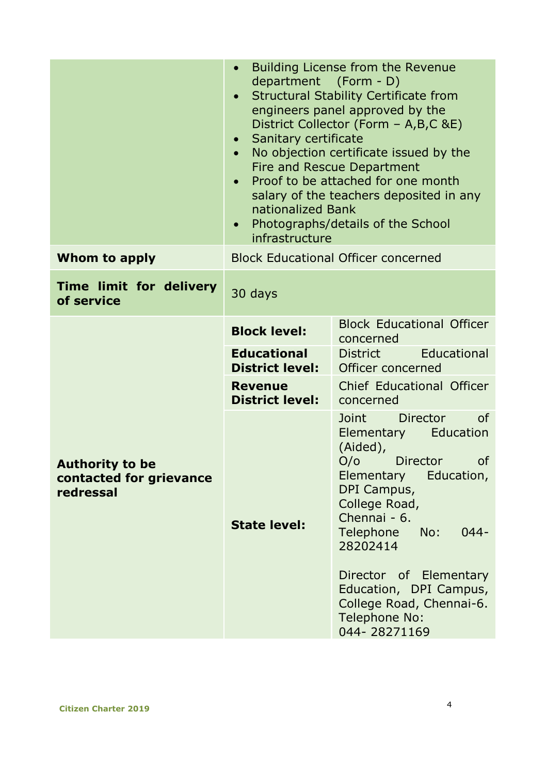|                                                                | Building License from the Revenue<br>department (Form - D)<br>Structural Stability Certificate from<br>$\bullet$<br>engineers panel approved by the<br>District Collector (Form - A,B,C &E)<br>Sanitary certificate<br>No objection certificate issued by the<br>$\bullet$<br>Fire and Rescue Department<br>Proof to be attached for one month<br>$\bullet$<br>salary of the teachers deposited in any<br>nationalized Bank<br>Photographs/details of the School<br>$\bullet$<br>infrastructure |                                                                                                                                                                                                                                                                                                                           |  |
|----------------------------------------------------------------|-------------------------------------------------------------------------------------------------------------------------------------------------------------------------------------------------------------------------------------------------------------------------------------------------------------------------------------------------------------------------------------------------------------------------------------------------------------------------------------------------|---------------------------------------------------------------------------------------------------------------------------------------------------------------------------------------------------------------------------------------------------------------------------------------------------------------------------|--|
| Whom to apply                                                  |                                                                                                                                                                                                                                                                                                                                                                                                                                                                                                 | <b>Block Educational Officer concerned</b>                                                                                                                                                                                                                                                                                |  |
| Time limit for delivery<br>of service                          | 30 days                                                                                                                                                                                                                                                                                                                                                                                                                                                                                         |                                                                                                                                                                                                                                                                                                                           |  |
|                                                                | <b>Block level:</b>                                                                                                                                                                                                                                                                                                                                                                                                                                                                             | <b>Block Educational Officer</b><br>concerned                                                                                                                                                                                                                                                                             |  |
|                                                                | <b>Educational</b><br><b>District level:</b>                                                                                                                                                                                                                                                                                                                                                                                                                                                    | Educational<br><b>District</b><br>Officer concerned                                                                                                                                                                                                                                                                       |  |
|                                                                | <b>Revenue</b><br><b>District level:</b>                                                                                                                                                                                                                                                                                                                                                                                                                                                        | Chief Educational Officer<br>concerned                                                                                                                                                                                                                                                                                    |  |
| <b>Authority to be</b><br>contacted for grievance<br>redressal | <b>State level:</b>                                                                                                                                                                                                                                                                                                                                                                                                                                                                             | Joint<br>Director<br>οf<br>Elementary Education<br>(Aided),<br>O/O<br>Director<br>0f<br>Elementary Education,<br>DPI Campus,<br>College Road,<br>Chennai - 6.<br>Telephone<br>$044 -$<br>No:<br>28202414<br>Director of Elementary<br>Education, DPI Campus,<br>College Road, Chennai-6.<br>Telephone No:<br>044-28271169 |  |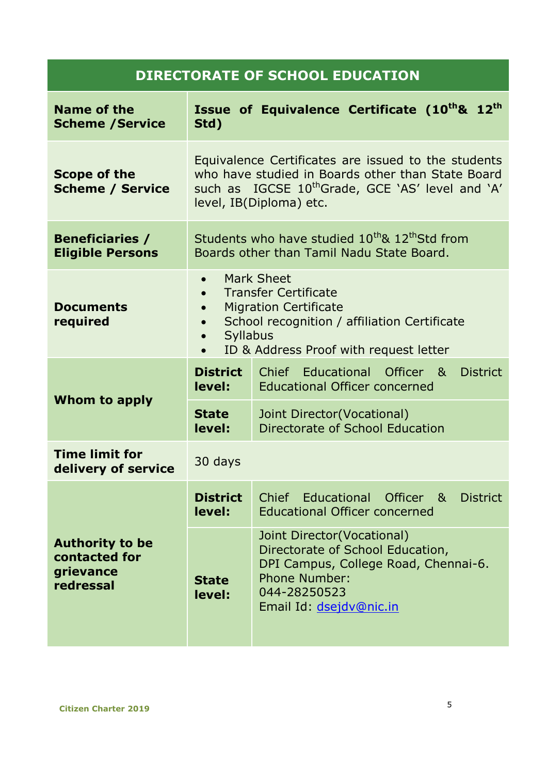| Name of the<br><b>Scheme / Service</b>                            | Std)                                                                                                                                                                                                                                                          | Issue of Equivalence Certificate (10th& 12th                                                                                                                       |
|-------------------------------------------------------------------|---------------------------------------------------------------------------------------------------------------------------------------------------------------------------------------------------------------------------------------------------------------|--------------------------------------------------------------------------------------------------------------------------------------------------------------------|
| <b>Scope of the</b><br><b>Scheme / Service</b>                    | Equivalence Certificates are issued to the students<br>who have studied in Boards other than State Board<br>such as IGCSE 10 <sup>th</sup> Grade, GCE 'AS' level and 'A'<br>level, IB(Diploma) etc.                                                           |                                                                                                                                                                    |
| <b>Beneficiaries /</b><br><b>Eligible Persons</b>                 |                                                                                                                                                                                                                                                               | Students who have studied 10 <sup>th</sup> & 12 <sup>th</sup> Std from<br>Boards other than Tamil Nadu State Board.                                                |
| <b>Documents</b><br>required                                      | Mark Sheet<br>$\bullet$<br><b>Transfer Certificate</b><br>$\bullet$<br><b>Migration Certificate</b><br>$\bullet$<br>School recognition / affiliation Certificate<br>$\bullet$<br>Syllabus<br>$\bullet$<br>ID & Address Proof with request letter<br>$\bullet$ |                                                                                                                                                                    |
|                                                                   | <b>District</b><br>level:                                                                                                                                                                                                                                     | Chief Educational Officer &<br><b>District</b><br><b>Educational Officer concerned</b>                                                                             |
| Whom to apply                                                     | <b>State</b><br>level:                                                                                                                                                                                                                                        | Joint Director(Vocational)<br>Directorate of School Education                                                                                                      |
| <b>Time limit for</b><br>delivery of service                      | 30 days                                                                                                                                                                                                                                                       |                                                                                                                                                                    |
|                                                                   | <b>District</b><br>level:                                                                                                                                                                                                                                     | Chief Educational Officer &<br><b>District</b><br><b>Educational Officer concerned</b>                                                                             |
| <b>Authority to be</b><br>contacted for<br>grievance<br>redressal | <b>State</b><br>level:                                                                                                                                                                                                                                        | Joint Director(Vocational)<br>Directorate of School Education,<br>DPI Campus, College Road, Chennai-6.<br>Phone Number:<br>044-28250523<br>Email Id: dsejdv@nic.in |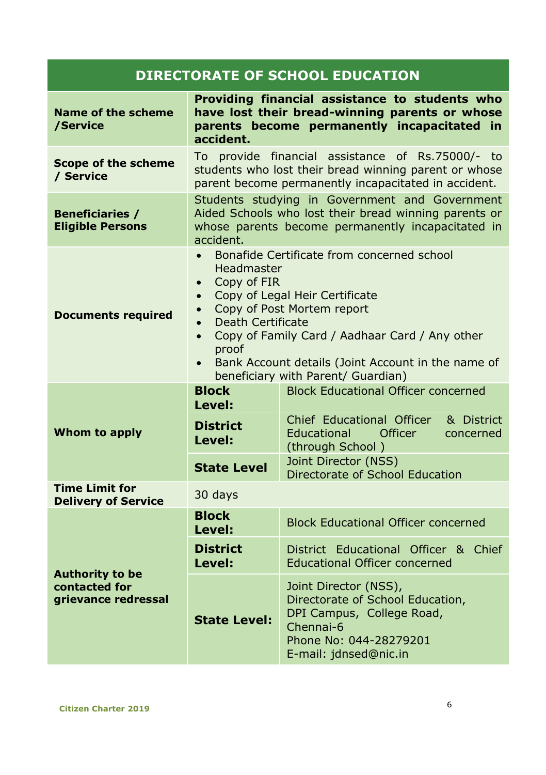| <b>Name of the scheme</b><br>/Service                          | accident.                                                                                                                                                                                                                                                                                                                                                                                                      | Providing financial assistance to students who<br>have lost their bread-winning parents or whose<br>parents become permanently incapacitated in                   |  |
|----------------------------------------------------------------|----------------------------------------------------------------------------------------------------------------------------------------------------------------------------------------------------------------------------------------------------------------------------------------------------------------------------------------------------------------------------------------------------------------|-------------------------------------------------------------------------------------------------------------------------------------------------------------------|--|
| <b>Scope of the scheme</b><br>/ Service                        |                                                                                                                                                                                                                                                                                                                                                                                                                | To provide financial assistance of Rs.75000/- to<br>students who lost their bread winning parent or whose<br>parent become permanently incapacitated in accident. |  |
| <b>Beneficiaries /</b><br><b>Eligible Persons</b>              | Students studying in Government and Government<br>Aided Schools who lost their bread winning parents or<br>whose parents become permanently incapacitated in<br>accident.                                                                                                                                                                                                                                      |                                                                                                                                                                   |  |
| <b>Documents required</b>                                      | Bonafide Certificate from concerned school<br>$\bullet$<br>Headmaster<br>Copy of FIR<br>$\bullet$<br>Copy of Legal Heir Certificate<br>$\bullet$<br>Copy of Post Mortem report<br>$\bullet$<br>Death Certificate<br>$\bullet$<br>Copy of Family Card / Aadhaar Card / Any other<br>$\bullet$<br>proof<br>Bank Account details (Joint Account in the name of<br>$\bullet$<br>beneficiary with Parent/ Guardian) |                                                                                                                                                                   |  |
|                                                                | <b>Block</b><br>Level:                                                                                                                                                                                                                                                                                                                                                                                         | <b>Block Educational Officer concerned</b>                                                                                                                        |  |
| Whom to apply                                                  | <b>District</b><br>Level:                                                                                                                                                                                                                                                                                                                                                                                      | Chief Educational Officer<br>& District<br>Officer<br>Educational<br>concerned<br>(through School)                                                                |  |
|                                                                | <b>State Level</b>                                                                                                                                                                                                                                                                                                                                                                                             | Joint Director (NSS)<br>Directorate of School Education                                                                                                           |  |
| <b>Time Limit for</b><br><b>Delivery of Service</b>            | 30 days                                                                                                                                                                                                                                                                                                                                                                                                        |                                                                                                                                                                   |  |
|                                                                | <b>Block</b><br>Level:                                                                                                                                                                                                                                                                                                                                                                                         | <b>Block Educational Officer concerned</b>                                                                                                                        |  |
| <b>Authority to be</b><br>contacted for<br>grievance redressal | <b>District</b><br>Level:                                                                                                                                                                                                                                                                                                                                                                                      | District Educational Officer & Chief<br><b>Educational Officer concerned</b>                                                                                      |  |
|                                                                | <b>State Level:</b>                                                                                                                                                                                                                                                                                                                                                                                            | Joint Director (NSS),<br>Directorate of School Education,<br>DPI Campus, College Road,<br>Chennai-6<br>Phone No: 044-28279201<br>E-mail: jdnsed@nic.in            |  |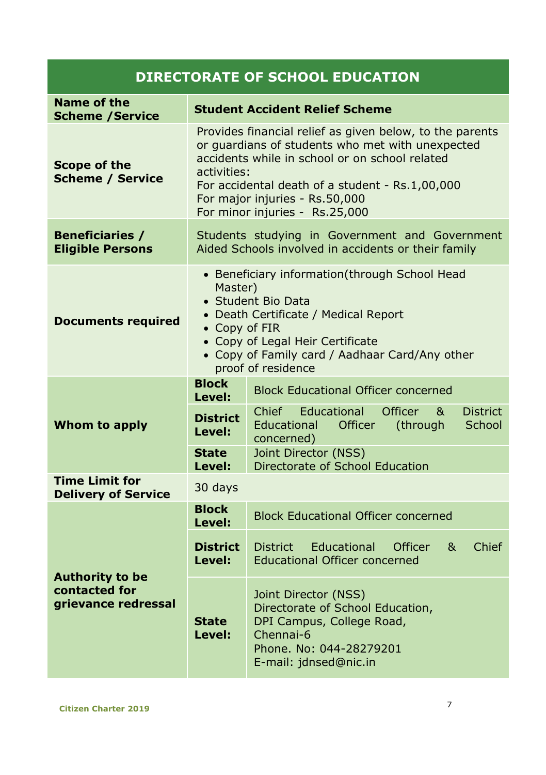| Name of the<br><b>Scheme / Service</b>                         |                                                                                                                                                                                                                                                                                                      | <b>Student Accident Relief Scheme</b>                                                                                                                  |  |
|----------------------------------------------------------------|------------------------------------------------------------------------------------------------------------------------------------------------------------------------------------------------------------------------------------------------------------------------------------------------------|--------------------------------------------------------------------------------------------------------------------------------------------------------|--|
| <b>Scope of the</b><br><b>Scheme / Service</b>                 | Provides financial relief as given below, to the parents<br>or quardians of students who met with unexpected<br>accidents while in school or on school related<br>activities:<br>For accidental death of a student - Rs.1,00,000<br>For major injuries - Rs.50,000<br>For minor injuries - Rs.25,000 |                                                                                                                                                        |  |
| <b>Beneficiaries /</b><br><b>Eligible Persons</b>              | Students studying in Government and Government<br>Aided Schools involved in accidents or their family                                                                                                                                                                                                |                                                                                                                                                        |  |
| <b>Documents required</b>                                      | • Beneficiary information(through School Head<br>Master)<br>• Student Bio Data<br>• Death Certificate / Medical Report<br>• Copy of FIR<br>• Copy of Legal Heir Certificate<br>• Copy of Family card / Aadhaar Card/Any other<br>proof of residence                                                  |                                                                                                                                                        |  |
|                                                                | <b>Block</b><br>Level:                                                                                                                                                                                                                                                                               | <b>Block Educational Officer concerned</b>                                                                                                             |  |
| Whom to apply                                                  | <b>District</b><br>Level:                                                                                                                                                                                                                                                                            | Chief<br>Educational<br>Officer<br>&<br><b>District</b><br>Educational<br>School<br>Officer<br>(through<br>concerned)                                  |  |
|                                                                | <b>State</b><br>Level:                                                                                                                                                                                                                                                                               | Joint Director (NSS)<br>Directorate of School Education                                                                                                |  |
| <b>Time Limit for</b><br><b>Delivery of Service</b>            | 30 days                                                                                                                                                                                                                                                                                              |                                                                                                                                                        |  |
|                                                                | <b>Block</b><br>Level:                                                                                                                                                                                                                                                                               | <b>Block Educational Officer concerned</b>                                                                                                             |  |
| <b>Authority to be</b><br>contacted for<br>grievance redressal | <b>District</b><br>Level:                                                                                                                                                                                                                                                                            | Chief<br><b>District</b><br>Educational<br>Officer<br>8 <sub>k</sub><br><b>Educational Officer concerned</b>                                           |  |
|                                                                | <b>State</b><br>Level:                                                                                                                                                                                                                                                                               | Joint Director (NSS)<br>Directorate of School Education,<br>DPI Campus, College Road,<br>Chennai-6<br>Phone. No: 044-28279201<br>E-mail: jdnsed@nic.in |  |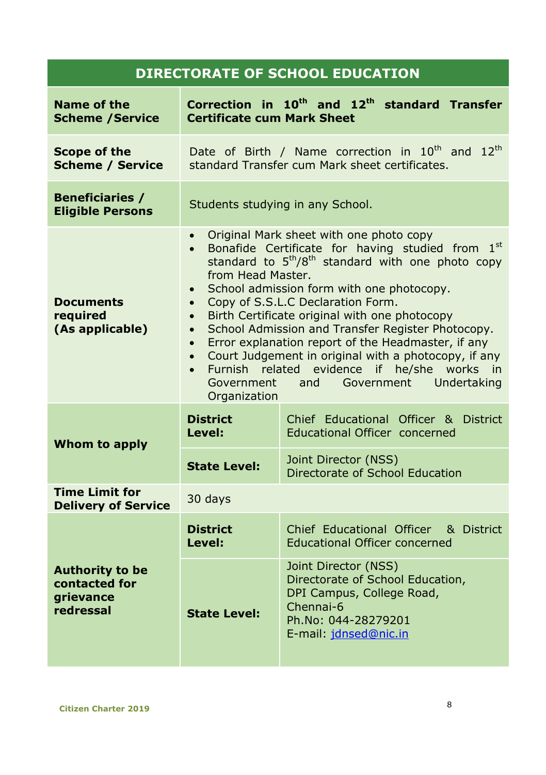| Name of the<br><b>Scheme /Service</b>                                    | <b>Certificate cum Mark Sheet</b>                                                                                                                                                                                                                                                                                                                                                                                                                                                                                                                                                                                                                                                                                                                        | Correction in 10 <sup>th</sup> and 12 <sup>th</sup> standard Transfer                                                                                     |  |
|--------------------------------------------------------------------------|----------------------------------------------------------------------------------------------------------------------------------------------------------------------------------------------------------------------------------------------------------------------------------------------------------------------------------------------------------------------------------------------------------------------------------------------------------------------------------------------------------------------------------------------------------------------------------------------------------------------------------------------------------------------------------------------------------------------------------------------------------|-----------------------------------------------------------------------------------------------------------------------------------------------------------|--|
| Scope of the<br><b>Scheme / Service</b>                                  |                                                                                                                                                                                                                                                                                                                                                                                                                                                                                                                                                                                                                                                                                                                                                          | Date of Birth / Name correction in 10 <sup>th</sup> and 12 <sup>th</sup><br>standard Transfer cum Mark sheet certificates.                                |  |
| <b>Beneficiaries /</b><br><b>Eligible Persons</b>                        | Students studying in any School.                                                                                                                                                                                                                                                                                                                                                                                                                                                                                                                                                                                                                                                                                                                         |                                                                                                                                                           |  |
| <b>Documents</b><br>required<br>(As applicable)                          | Original Mark sheet with one photo copy<br>$\bullet$<br>Bonafide Certificate for having studied from<br>1 <sup>st</sup><br>$\bullet$<br>standard to 5 <sup>th</sup> /8 <sup>th</sup> standard with one photo copy<br>from Head Master.<br>School admission form with one photocopy.<br>$\bullet$<br>Copy of S.S.L.C Declaration Form.<br>$\bullet$<br>Birth Certificate original with one photocopy<br>$\bullet$<br>School Admission and Transfer Register Photocopy.<br>$\bullet$<br>Error explanation report of the Headmaster, if any<br>$\bullet$<br>Court Judgement in original with a photocopy, if any<br>$\bullet$<br>Furnish related evidence if he/she works in<br>$\bullet$<br>Government<br>Undertaking<br>and<br>Government<br>Organization |                                                                                                                                                           |  |
| Whom to apply                                                            | <b>District</b><br>Level:                                                                                                                                                                                                                                                                                                                                                                                                                                                                                                                                                                                                                                                                                                                                | Chief Educational Officer & District<br>Educational Officer concerned                                                                                     |  |
|                                                                          | <b>State Level:</b>                                                                                                                                                                                                                                                                                                                                                                                                                                                                                                                                                                                                                                                                                                                                      | Joint Director (NSS)<br>Directorate of School Education                                                                                                   |  |
| <b>Time Limit for</b><br><b>Delivery of Service</b>                      | 30 days                                                                                                                                                                                                                                                                                                                                                                                                                                                                                                                                                                                                                                                                                                                                                  |                                                                                                                                                           |  |
|                                                                          | <b>District</b><br>Level:                                                                                                                                                                                                                                                                                                                                                                                                                                                                                                                                                                                                                                                                                                                                | Chief Educational Officer & District<br><b>Educational Officer concerned</b>                                                                              |  |
| <b>Authority to be</b><br>contacted for<br><b>grievance</b><br>redressal | <b>State Level:</b>                                                                                                                                                                                                                                                                                                                                                                                                                                                                                                                                                                                                                                                                                                                                      | Joint Director (NSS)<br>Directorate of School Education,<br>DPI Campus, College Road,<br>Chennai-6<br>Ph.No: 044-28279201<br>E-mail: <i>idnsed@nic.in</i> |  |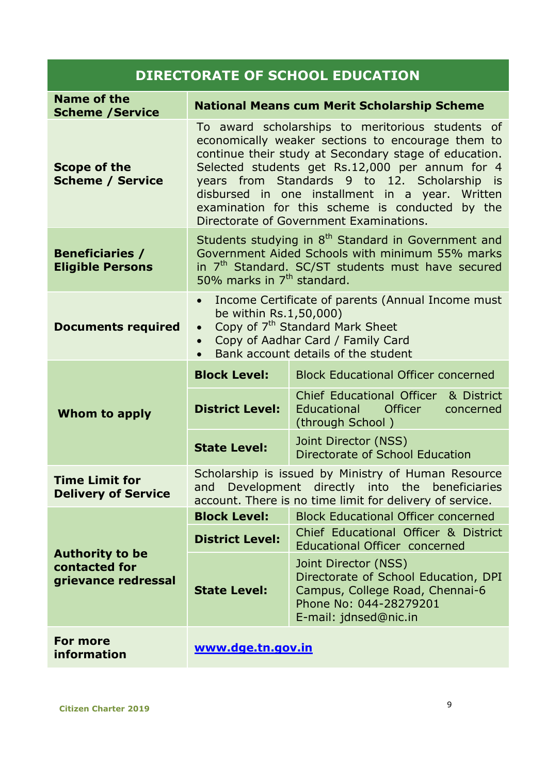| Name of the<br><b>Scheme / Service</b>                         |                                                                                                                                                                                                                                                                                                                                                                                                                       | <b>National Means cum Merit Scholarship Scheme</b>                                                                                                                                                                            |  |
|----------------------------------------------------------------|-----------------------------------------------------------------------------------------------------------------------------------------------------------------------------------------------------------------------------------------------------------------------------------------------------------------------------------------------------------------------------------------------------------------------|-------------------------------------------------------------------------------------------------------------------------------------------------------------------------------------------------------------------------------|--|
| <b>Scope of the</b><br><b>Scheme / Service</b>                 | To award scholarships to meritorious students of<br>economically weaker sections to encourage them to<br>continue their study at Secondary stage of education.<br>Selected students get Rs.12,000 per annum for 4<br>years from Standards 9 to 12. Scholarship<br>is<br>disbursed in one installment in a year. Written<br>examination for this scheme is conducted by the<br>Directorate of Government Examinations. |                                                                                                                                                                                                                               |  |
| <b>Beneficiaries /</b><br><b>Eligible Persons</b>              |                                                                                                                                                                                                                                                                                                                                                                                                                       | Students studying in 8 <sup>th</sup> Standard in Government and<br>Government Aided Schools with minimum 55% marks<br>in 7 <sup>th</sup> Standard. SC/ST students must have secured<br>50% marks in 7 <sup>th</sup> standard. |  |
| <b>Documents required</b>                                      | Income Certificate of parents (Annual Income must<br>be within Rs.1,50,000)<br>Copy of 7 <sup>th</sup> Standard Mark Sheet<br>$\bullet$<br>Copy of Aadhar Card / Family Card<br>$\bullet$<br>Bank account details of the student<br>$\bullet$                                                                                                                                                                         |                                                                                                                                                                                                                               |  |
| Whom to apply                                                  | <b>Block Level:</b>                                                                                                                                                                                                                                                                                                                                                                                                   | <b>Block Educational Officer concerned</b>                                                                                                                                                                                    |  |
|                                                                | <b>District Level:</b>                                                                                                                                                                                                                                                                                                                                                                                                | Chief Educational Officer<br>& District<br>Educational Officer<br>concerned<br>(through School)                                                                                                                               |  |
|                                                                | <b>State Level:</b>                                                                                                                                                                                                                                                                                                                                                                                                   | Joint Director (NSS)<br>Directorate of School Education                                                                                                                                                                       |  |
| <b>Time Limit for</b><br><b>Delivery of Service</b>            | Scholarship is issued by Ministry of Human Resource<br>Development directly into the beneficiaries<br>and<br>account. There is no time limit for delivery of service.                                                                                                                                                                                                                                                 |                                                                                                                                                                                                                               |  |
|                                                                | <b>Block Level:</b>                                                                                                                                                                                                                                                                                                                                                                                                   | <b>Block Educational Officer concerned</b>                                                                                                                                                                                    |  |
|                                                                | <b>District Level:</b>                                                                                                                                                                                                                                                                                                                                                                                                | Chief Educational Officer & District<br>Educational Officer concerned                                                                                                                                                         |  |
| <b>Authority to be</b><br>contacted for<br>grievance redressal | <b>State Level:</b>                                                                                                                                                                                                                                                                                                                                                                                                   | Joint Director (NSS)<br>Directorate of School Education, DPI<br>Campus, College Road, Chennai-6<br>Phone No: 044-28279201<br>E-mail: jdnsed@nic.in                                                                            |  |
| For more<br>information                                        | www.dge.tn.gov.in                                                                                                                                                                                                                                                                                                                                                                                                     |                                                                                                                                                                                                                               |  |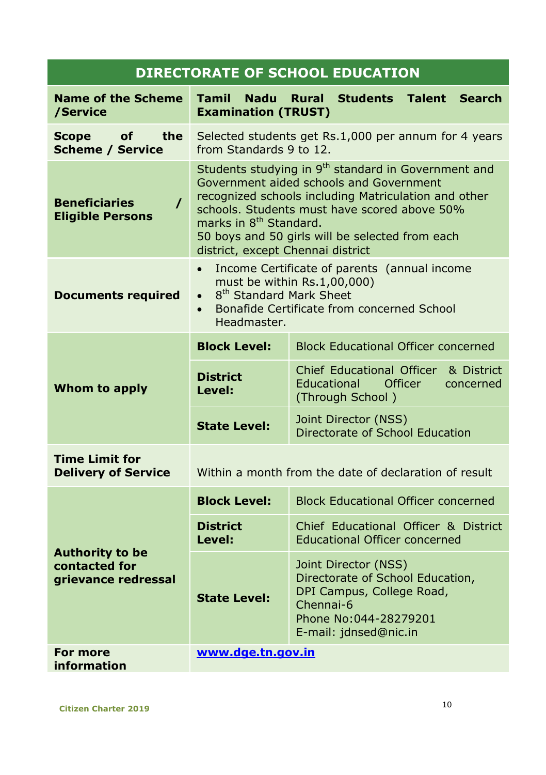| <b>Name of the Scheme</b><br>/Service                          | <b>Tamil</b><br><b>Nadu</b><br><b>Examination (TRUST)</b>                                                                                                                                                                                                                                                                                        | <b>Rural</b><br><b>Students</b><br><b>Talent Search</b>                                                                                              |  |
|----------------------------------------------------------------|--------------------------------------------------------------------------------------------------------------------------------------------------------------------------------------------------------------------------------------------------------------------------------------------------------------------------------------------------|------------------------------------------------------------------------------------------------------------------------------------------------------|--|
| the<br><b>Scope</b><br>of<br><b>Scheme / Service</b>           | from Standards 9 to 12.                                                                                                                                                                                                                                                                                                                          | Selected students get Rs.1,000 per annum for 4 years                                                                                                 |  |
| <b>Beneficiaries</b><br>$\prime$<br><b>Eligible Persons</b>    | Students studying in 9 <sup>th</sup> standard in Government and<br>Government aided schools and Government<br>recognized schools including Matriculation and other<br>schools. Students must have scored above 50%<br>marks in 8 <sup>th</sup> Standard.<br>50 boys and 50 girls will be selected from each<br>district, except Chennai district |                                                                                                                                                      |  |
| <b>Documents required</b>                                      | Income Certificate of parents (annual income<br>must be within Rs.1,00,000)<br>8 <sup>th</sup> Standard Mark Sheet<br>$\bullet$<br>Bonafide Certificate from concerned School<br>$\bullet$<br>Headmaster.                                                                                                                                        |                                                                                                                                                      |  |
|                                                                | <b>Block Level:</b>                                                                                                                                                                                                                                                                                                                              | <b>Block Educational Officer concerned</b>                                                                                                           |  |
| Whom to apply                                                  | <b>District</b><br>Level:                                                                                                                                                                                                                                                                                                                        | <b>Chief Educational Officer</b><br>& District<br>Officer<br>Educational<br>concerned<br>(Through School)                                            |  |
|                                                                | <b>State Level:</b>                                                                                                                                                                                                                                                                                                                              | Joint Director (NSS)<br>Directorate of School Education                                                                                              |  |
| <b>Time Limit for</b><br><b>Delivery of Service</b>            | Within a month from the date of declaration of result                                                                                                                                                                                                                                                                                            |                                                                                                                                                      |  |
|                                                                | <b>Block Level:</b>                                                                                                                                                                                                                                                                                                                              | <b>Block Educational Officer concerned</b>                                                                                                           |  |
|                                                                | <b>District</b><br>Level:                                                                                                                                                                                                                                                                                                                        | Chief Educational Officer & District<br><b>Educational Officer concerned</b>                                                                         |  |
| <b>Authority to be</b><br>contacted for<br>grievance redressal | <b>State Level:</b>                                                                                                                                                                                                                                                                                                                              | Joint Director (NSS)<br>Directorate of School Education,<br>DPI Campus, College Road,<br>Chennai-6<br>Phone No:044-28279201<br>E-mail: jdnsed@nic.in |  |
| For more<br>information                                        | www.dge.tn.gov.in                                                                                                                                                                                                                                                                                                                                |                                                                                                                                                      |  |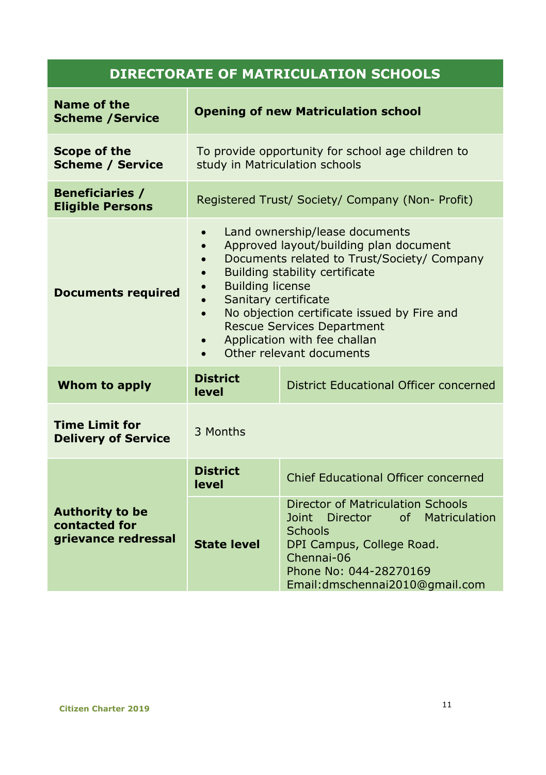# **DIRECTORATE OF MATRICULATION SCHOOLS**

| Name of the<br><b>Scheme / Service</b>                         | <b>Opening of new Matriculation school</b>                                                                                                                                                                                                                                                                                                                                                                       |                                                                                                                                                                                                             |  |
|----------------------------------------------------------------|------------------------------------------------------------------------------------------------------------------------------------------------------------------------------------------------------------------------------------------------------------------------------------------------------------------------------------------------------------------------------------------------------------------|-------------------------------------------------------------------------------------------------------------------------------------------------------------------------------------------------------------|--|
| Scope of the<br><b>Scheme / Service</b>                        | To provide opportunity for school age children to<br>study in Matriculation schools                                                                                                                                                                                                                                                                                                                              |                                                                                                                                                                                                             |  |
| <b>Beneficiaries /</b><br><b>Eligible Persons</b>              |                                                                                                                                                                                                                                                                                                                                                                                                                  | Registered Trust/ Society/ Company (Non- Profit)                                                                                                                                                            |  |
| <b>Documents required</b>                                      | Land ownership/lease documents<br>$\bullet$<br>Approved layout/building plan document<br>Documents related to Trust/Society/ Company<br>$\bullet$<br>Building stability certificate<br><b>Building license</b><br>Sanitary certificate<br>No objection certificate issued by Fire and<br>$\bullet$<br><b>Rescue Services Department</b><br>Application with fee challan<br>$\bullet$<br>Other relevant documents |                                                                                                                                                                                                             |  |
| Whom to apply                                                  | <b>District</b><br>level                                                                                                                                                                                                                                                                                                                                                                                         | District Educational Officer concerned                                                                                                                                                                      |  |
| <b>Time Limit for</b><br><b>Delivery of Service</b>            | 3 Months                                                                                                                                                                                                                                                                                                                                                                                                         |                                                                                                                                                                                                             |  |
| <b>Authority to be</b><br>contacted for<br>grievance redressal | <b>District</b><br>level                                                                                                                                                                                                                                                                                                                                                                                         | Chief Educational Officer concerned                                                                                                                                                                         |  |
|                                                                | <b>State level</b>                                                                                                                                                                                                                                                                                                                                                                                               | Director of Matriculation Schools<br><b>Joint</b><br>Director<br>of Matriculation<br><b>Schools</b><br>DPI Campus, College Road.<br>Chennai-06<br>Phone No: 044-28270169<br>Email: dmschennai2010@gmail.com |  |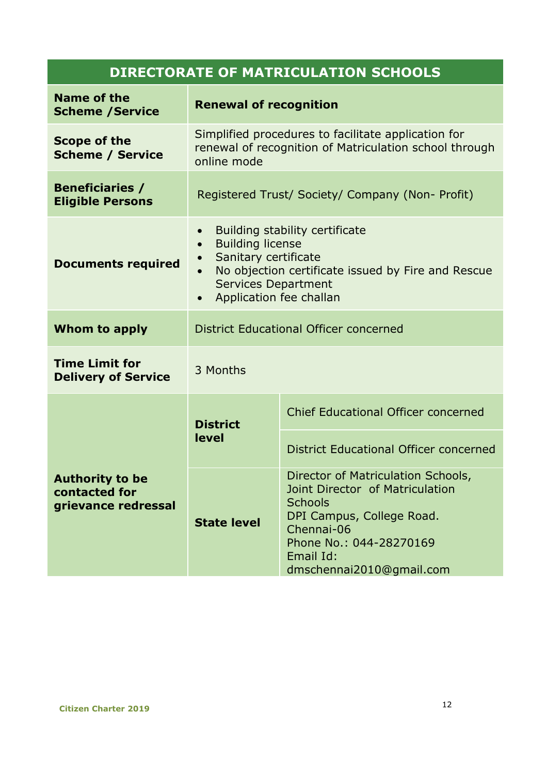# **DIRECTORATE OF MATRICULATION SCHOOLS**

| Name of the<br><b>Scheme / Service</b>                         | <b>Renewal of recognition</b>                                                                                                                                                                                                    |                                                                                                                                                                                                        |
|----------------------------------------------------------------|----------------------------------------------------------------------------------------------------------------------------------------------------------------------------------------------------------------------------------|--------------------------------------------------------------------------------------------------------------------------------------------------------------------------------------------------------|
| Scope of the<br><b>Scheme / Service</b>                        | Simplified procedures to facilitate application for<br>renewal of recognition of Matriculation school through<br>online mode                                                                                                     |                                                                                                                                                                                                        |
| <b>Beneficiaries /</b><br><b>Eligible Persons</b>              | Registered Trust/ Society/ Company (Non- Profit)                                                                                                                                                                                 |                                                                                                                                                                                                        |
| <b>Documents required</b>                                      | Building stability certificate<br>$\bullet$<br><b>Building license</b><br>$\bullet$<br>Sanitary certificate<br>No objection certificate issued by Fire and Rescue<br>Services Department<br>Application fee challan<br>$\bullet$ |                                                                                                                                                                                                        |
| Whom to apply                                                  | District Educational Officer concerned                                                                                                                                                                                           |                                                                                                                                                                                                        |
| <b>Time Limit for</b><br><b>Delivery of Service</b>            | 3 Months                                                                                                                                                                                                                         |                                                                                                                                                                                                        |
|                                                                | <b>District</b><br>level                                                                                                                                                                                                         | Chief Educational Officer concerned                                                                                                                                                                    |
| <b>Authority to be</b><br>contacted for<br>grievance redressal |                                                                                                                                                                                                                                  | District Educational Officer concerned                                                                                                                                                                 |
|                                                                | <b>State level</b>                                                                                                                                                                                                               | Director of Matriculation Schools,<br>Joint Director of Matriculation<br><b>Schools</b><br>DPI Campus, College Road.<br>Chennai-06<br>Phone No.: 044-28270169<br>Email Id:<br>dmschennai2010@gmail.com |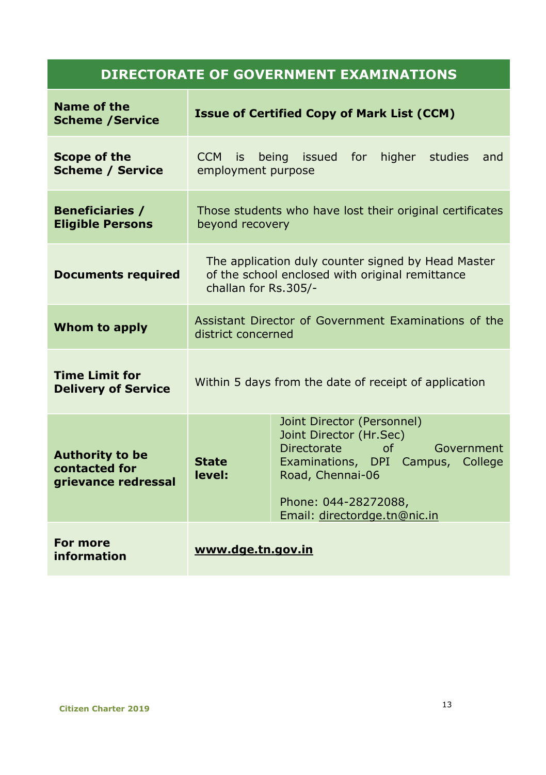| Name of the<br><b>Scheme / Service</b>                         |                                                                            | <b>Issue of Certified Copy of Mark List (CCM)</b>                                                                                                                                                         |
|----------------------------------------------------------------|----------------------------------------------------------------------------|-----------------------------------------------------------------------------------------------------------------------------------------------------------------------------------------------------------|
| Scope of the<br><b>Scheme / Service</b>                        | CCM is<br>employment purpose                                               | being issued for<br>higher<br>studies<br>and                                                                                                                                                              |
| <b>Beneficiaries /</b><br><b>Eligible Persons</b>              | beyond recovery                                                            | Those students who have lost their original certificates                                                                                                                                                  |
| <b>Documents required</b>                                      | challan for Rs.305/-                                                       | The application duly counter signed by Head Master<br>of the school enclosed with original remittance                                                                                                     |
| Whom to apply                                                  | Assistant Director of Government Examinations of the<br>district concerned |                                                                                                                                                                                                           |
| <b>Time Limit for</b><br><b>Delivery of Service</b>            | Within 5 days from the date of receipt of application                      |                                                                                                                                                                                                           |
| <b>Authority to be</b><br>contacted for<br>grievance redressal | <b>State</b><br>level:                                                     | Joint Director (Personnel)<br>Joint Director (Hr.Sec)<br>Directorate<br>of<br>Government<br>Examinations, DPI Campus, College<br>Road, Chennai-06<br>Phone: 044-28272088,<br>Email: directordge.tn@nic.in |
| For more<br>information                                        | www.dge.tn.gov.in                                                          |                                                                                                                                                                                                           |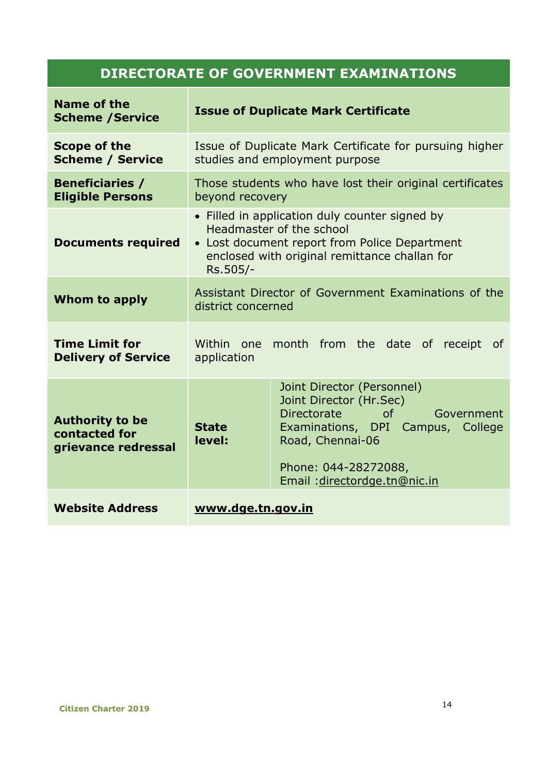| Name of the<br><b>Scheme / Service</b>                         |                                                                                                                                                                                          | <b>Issue of Duplicate Mark Certificate</b>                                                                                                                                                                |
|----------------------------------------------------------------|------------------------------------------------------------------------------------------------------------------------------------------------------------------------------------------|-----------------------------------------------------------------------------------------------------------------------------------------------------------------------------------------------------------|
| Scope of the<br><b>Scheme / Service</b>                        |                                                                                                                                                                                          | Issue of Duplicate Mark Certificate for pursuing higher<br>studies and employment purpose                                                                                                                 |
| <b>Beneficiaries /</b><br><b>Eligible Persons</b>              | beyond recovery                                                                                                                                                                          | Those students who have lost their original certificates                                                                                                                                                  |
| <b>Documents required</b>                                      | • Filled in application duly counter signed by<br>Headmaster of the school<br>• Lost document report from Police Department<br>enclosed with original remittance challan for<br>Rs.505/- |                                                                                                                                                                                                           |
| Whom to apply                                                  | Assistant Director of Government Examinations of the<br>district concerned                                                                                                               |                                                                                                                                                                                                           |
| <b>Time Limit for</b><br><b>Delivery of Service</b>            | Within one<br>month from the date of receipt of<br>application                                                                                                                           |                                                                                                                                                                                                           |
| <b>Authority to be</b><br>contacted for<br>grievance redressal | <b>State</b><br>level:                                                                                                                                                                   | Joint Director (Personnel)<br>Joint Director (Hr.Sec)<br>Directorate<br>of<br>Government<br>Examinations, DPI Campus, College<br>Road, Chennai-06<br>Phone: 044-28272088,<br>Email: directordge.tn@nic.in |
| <b>Website Address</b>                                         | www.dge.tn.gov.in                                                                                                                                                                        |                                                                                                                                                                                                           |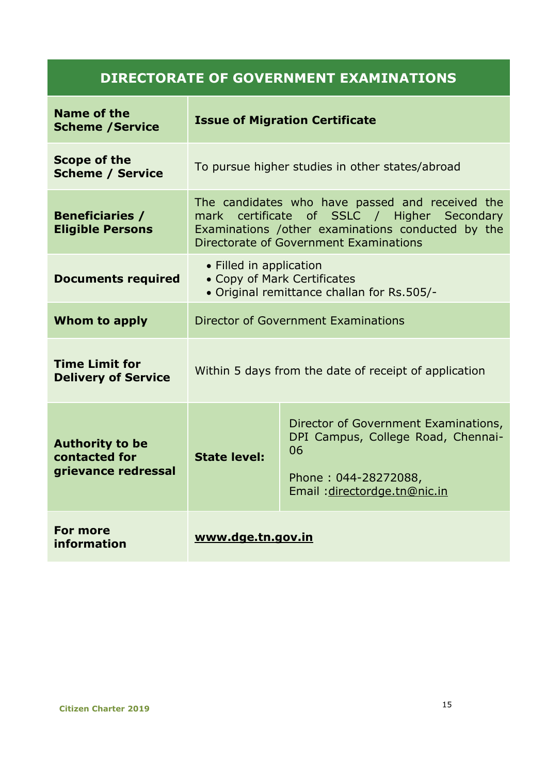| Name of the<br><b>Scheme / Service</b>                         | <b>Issue of Migration Certificate</b>                                                                                                                                                          |                                                                                                                                          |  |
|----------------------------------------------------------------|------------------------------------------------------------------------------------------------------------------------------------------------------------------------------------------------|------------------------------------------------------------------------------------------------------------------------------------------|--|
| Scope of the<br><b>Scheme / Service</b>                        | To pursue higher studies in other states/abroad                                                                                                                                                |                                                                                                                                          |  |
| <b>Beneficiaries /</b><br><b>Eligible Persons</b>              | The candidates who have passed and received the<br>mark certificate of SSLC / Higher Secondary<br>Examinations / other examinations conducted by the<br>Directorate of Government Examinations |                                                                                                                                          |  |
| <b>Documents required</b>                                      | • Filled in application<br>• Copy of Mark Certificates<br>• Original remittance challan for Rs.505/-                                                                                           |                                                                                                                                          |  |
| Whom to apply                                                  | Director of Government Examinations                                                                                                                                                            |                                                                                                                                          |  |
| <b>Time Limit for</b><br><b>Delivery of Service</b>            | Within 5 days from the date of receipt of application                                                                                                                                          |                                                                                                                                          |  |
| <b>Authority to be</b><br>contacted for<br>grievance redressal | <b>State level:</b>                                                                                                                                                                            | Director of Government Examinations,<br>DPI Campus, College Road, Chennai-<br>06<br>Phone: 044-28272088,<br>Email: directordge.tn@nic.in |  |
| For more<br>information                                        | www.dge.tn.gov.in                                                                                                                                                                              |                                                                                                                                          |  |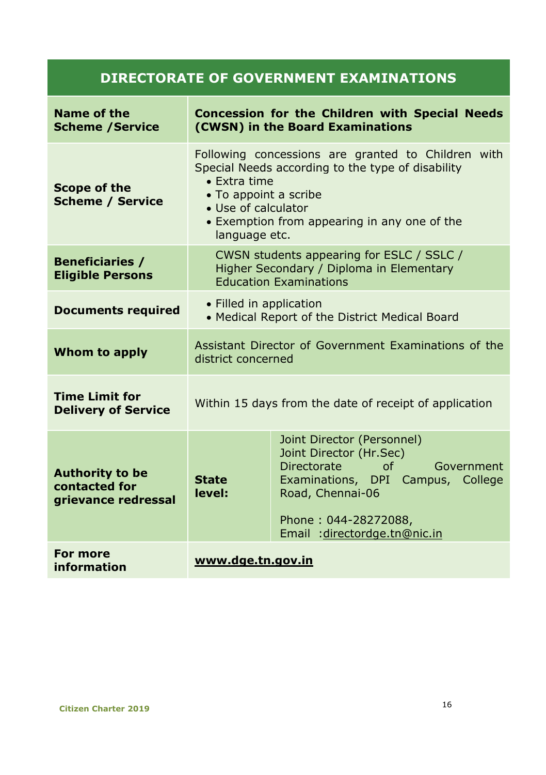| Name of the<br><b>Scheme / Service</b>                         | <b>Concession for the Children with Special Needs</b><br>(CWSN) in the Board Examinations                                                                                                                                                        |                                                                                                                                                                                                                        |  |
|----------------------------------------------------------------|--------------------------------------------------------------------------------------------------------------------------------------------------------------------------------------------------------------------------------------------------|------------------------------------------------------------------------------------------------------------------------------------------------------------------------------------------------------------------------|--|
| Scope of the<br><b>Scheme / Service</b>                        | Following concessions are granted to Children with<br>Special Needs according to the type of disability<br>$\bullet$ Extra time<br>• To appoint a scribe<br>• Use of calculator<br>• Exemption from appearing in any one of the<br>language etc. |                                                                                                                                                                                                                        |  |
| <b>Beneficiaries /</b><br><b>Eligible Persons</b>              | CWSN students appearing for ESLC / SSLC /<br>Higher Secondary / Diploma in Elementary<br><b>Education Examinations</b>                                                                                                                           |                                                                                                                                                                                                                        |  |
| <b>Documents required</b>                                      | • Filled in application<br>• Medical Report of the District Medical Board                                                                                                                                                                        |                                                                                                                                                                                                                        |  |
| Whom to apply                                                  | Assistant Director of Government Examinations of the<br>district concerned                                                                                                                                                                       |                                                                                                                                                                                                                        |  |
| <b>Time Limit for</b><br><b>Delivery of Service</b>            | Within 15 days from the date of receipt of application                                                                                                                                                                                           |                                                                                                                                                                                                                        |  |
| <b>Authority to be</b><br>contacted for<br>grievance redressal | <b>State</b><br>level:                                                                                                                                                                                                                           | Joint Director (Personnel)<br>Joint Director (Hr.Sec)<br><b>Directorate</b><br>$\Omega$<br>Government<br>Examinations, DPI Campus, College<br>Road, Chennai-06<br>Phone: 044-28272088,<br>Email: directordge.tn@nic.in |  |
| For more<br>information                                        | www.dge.tn.gov.in                                                                                                                                                                                                                                |                                                                                                                                                                                                                        |  |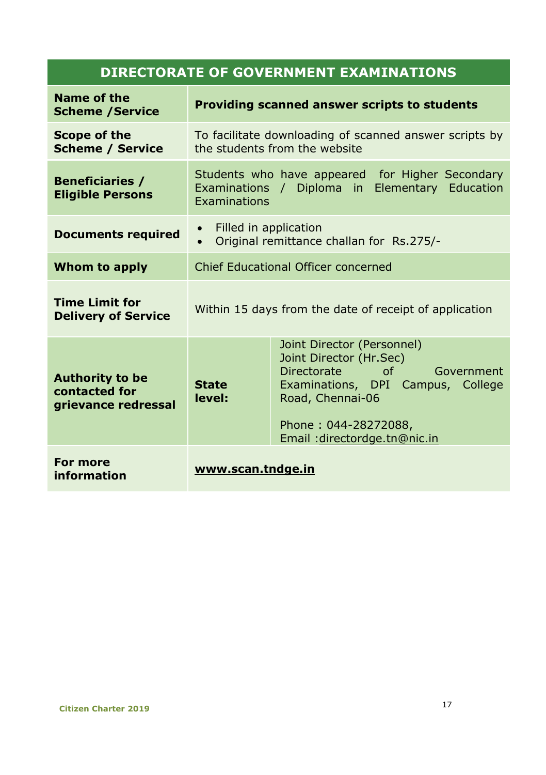| Name of the<br><b>Scheme / Service</b>                         | Providing scanned answer scripts to students                                            |                                                                                                                                                                                                           |  |
|----------------------------------------------------------------|-----------------------------------------------------------------------------------------|-----------------------------------------------------------------------------------------------------------------------------------------------------------------------------------------------------------|--|
| Scope of the<br><b>Scheme / Service</b>                        | To facilitate downloading of scanned answer scripts by<br>the students from the website |                                                                                                                                                                                                           |  |
| <b>Beneficiaries /</b><br><b>Eligible Persons</b>              | Examinations                                                                            | Students who have appeared for Higher Secondary<br>Examinations / Diploma in Elementary Education                                                                                                         |  |
| <b>Documents required</b>                                      | Filled in application<br>$\bullet$<br>Original remittance challan for Rs.275/-          |                                                                                                                                                                                                           |  |
| Whom to apply                                                  | Chief Educational Officer concerned                                                     |                                                                                                                                                                                                           |  |
| <b>Time Limit for</b><br><b>Delivery of Service</b>            | Within 15 days from the date of receipt of application                                  |                                                                                                                                                                                                           |  |
| <b>Authority to be</b><br>contacted for<br>grievance redressal | <b>State</b><br>level:                                                                  | Joint Director (Personnel)<br>Joint Director (Hr.Sec)<br>Directorate<br>of<br>Government<br>Examinations, DPI Campus, College<br>Road, Chennai-06<br>Phone: 044-28272088,<br>Email: directordge.tn@nic.in |  |
| For more<br>information                                        | www.scan.tndge.in                                                                       |                                                                                                                                                                                                           |  |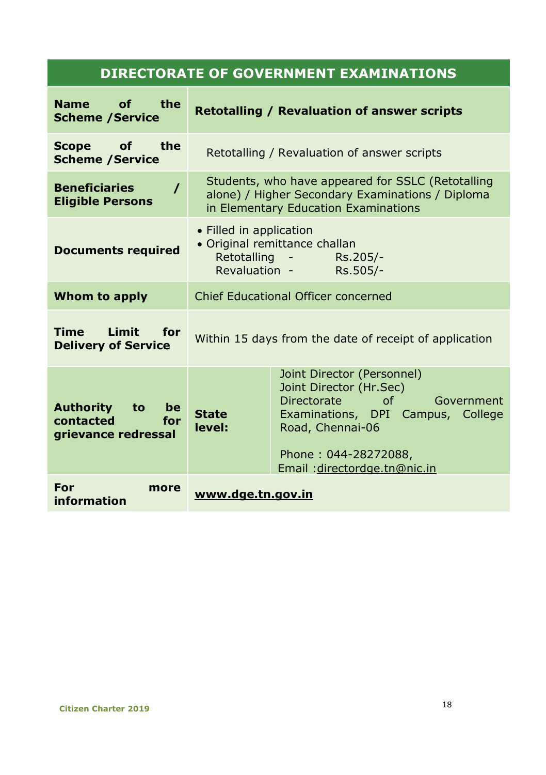| the<br><b>Name</b><br>of<br><b>Scheme / Service</b>              | <b>Retotalling / Revaluation of answer scripts</b>                                                                                            |                                                                                                                                                                                                                  |
|------------------------------------------------------------------|-----------------------------------------------------------------------------------------------------------------------------------------------|------------------------------------------------------------------------------------------------------------------------------------------------------------------------------------------------------------------|
| <b>Scope</b><br><b>of</b><br>the<br><b>Scheme / Service</b>      | Retotalling / Revaluation of answer scripts                                                                                                   |                                                                                                                                                                                                                  |
| <b>Beneficiaries</b><br>$\prime$<br><b>Eligible Persons</b>      | Students, who have appeared for SSLC (Retotalling<br>alone) / Higher Secondary Examinations / Diploma<br>in Elementary Education Examinations |                                                                                                                                                                                                                  |
| <b>Documents required</b>                                        | • Filled in application<br>· Original remittance challan<br>Retotalling -<br>Rs.205/-<br>Revaluation -<br>Rs.505/-                            |                                                                                                                                                                                                                  |
| Whom to apply                                                    | Chief Educational Officer concerned                                                                                                           |                                                                                                                                                                                                                  |
| <b>Limit</b><br><b>Time</b><br>for<br><b>Delivery of Service</b> | Within 15 days from the date of receipt of application                                                                                        |                                                                                                                                                                                                                  |
| Authority<br>to<br>be<br>contacted<br>for<br>grievance redressal | <b>State</b><br>level:                                                                                                                        | Joint Director (Personnel)<br>Joint Director (Hr.Sec)<br><b>Directorate</b><br>Ωf<br>Government<br>Examinations, DPI Campus, College<br>Road, Chennai-06<br>Phone: 044-28272088,<br>Email: directordge.tn@nic.in |
| For<br>more<br>information                                       | www.dge.tn.gov.in                                                                                                                             |                                                                                                                                                                                                                  |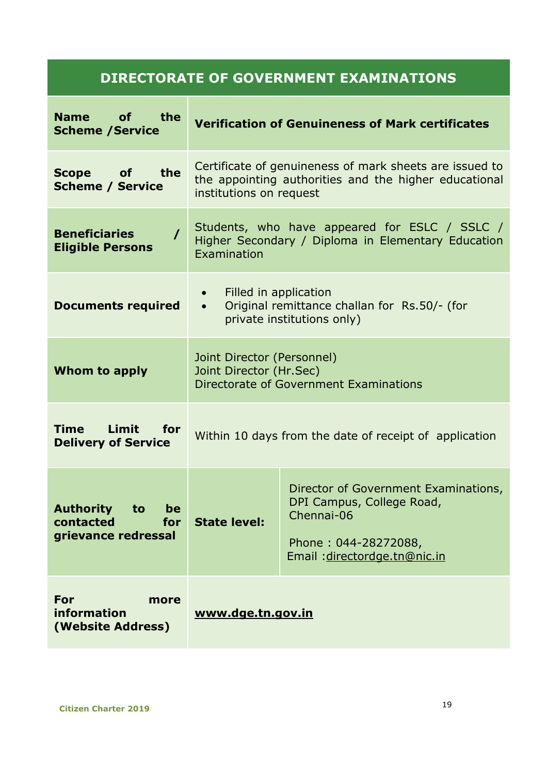| <b>Name</b><br>the<br>οf<br><b>Scheme / Service</b>                     | <b>Verification of Genuineness of Mark certificates</b>                                                                                     |                                                                                                                                         |
|-------------------------------------------------------------------------|---------------------------------------------------------------------------------------------------------------------------------------------|-----------------------------------------------------------------------------------------------------------------------------------------|
| the<br><b>of</b><br><b>Scope</b><br><b>Scheme / Service</b>             | Certificate of genuineness of mark sheets are issued to<br>the appointing authorities and the higher educational<br>institutions on request |                                                                                                                                         |
| <b>Beneficiaries</b><br>$\prime$<br><b>Eligible Persons</b>             | Students, who have appeared for ESLC / SSLC /<br>Higher Secondary / Diploma in Elementary Education<br><b>Examination</b>                   |                                                                                                                                         |
| <b>Documents required</b>                                               | Filled in application<br>Original remittance challan for Rs.50/- (for<br>$\bullet$<br>private institutions only)                            |                                                                                                                                         |
| Whom to apply                                                           | Joint Director (Personnel)<br>Joint Director (Hr.Sec)<br>Directorate of Government Examinations                                             |                                                                                                                                         |
| <b>Limit</b><br>Time<br>for<br><b>Delivery of Service</b>               | Within 10 days from the date of receipt of application                                                                                      |                                                                                                                                         |
| <b>Authority</b><br>to<br>be<br>contacted<br>for<br>grievance redressal | <b>State level:</b>                                                                                                                         | Director of Government Examinations,<br>DPI Campus, College Road,<br>Chennai-06<br>Phone: 044-28272088,<br>Email: directordge.tn@nic.in |
| For<br>more<br>information<br>(Website Address)                         | www.dge.tn.gov.in                                                                                                                           |                                                                                                                                         |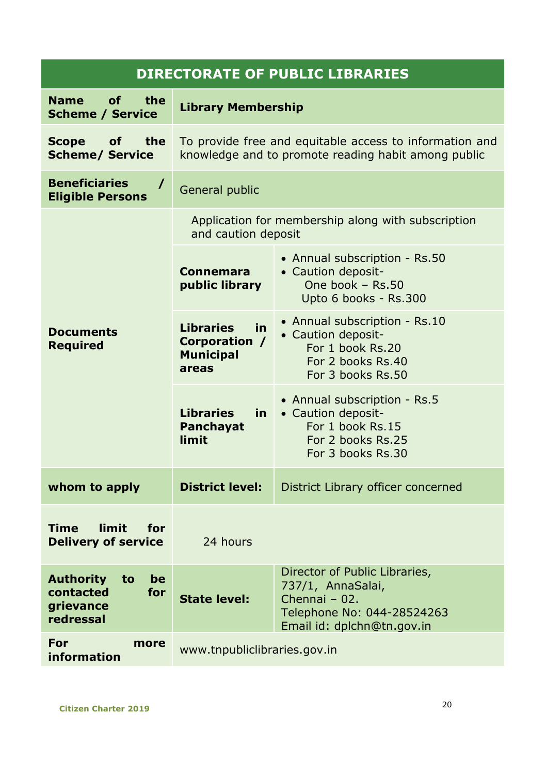| <b>DIRECTORATE OF PUBLIC LIBRARIES</b>                                     |                                                                                                                |                                                                                                                                 |  |
|----------------------------------------------------------------------------|----------------------------------------------------------------------------------------------------------------|---------------------------------------------------------------------------------------------------------------------------------|--|
| <b>Name</b><br>οf<br>the<br><b>Scheme / Service</b>                        | <b>Library Membership</b>                                                                                      |                                                                                                                                 |  |
| <b>Scope</b><br>οf<br>the<br><b>Scheme/ Service</b>                        | To provide free and equitable access to information and<br>knowledge and to promote reading habit among public |                                                                                                                                 |  |
| <b>Beneficiaries</b><br>$\prime$<br><b>Eligible Persons</b>                | General public                                                                                                 |                                                                                                                                 |  |
|                                                                            | Application for membership along with subscription<br>and caution deposit                                      |                                                                                                                                 |  |
|                                                                            | Connemara<br>public library                                                                                    | • Annual subscription - Rs.50<br>• Caution deposit-<br>One book $-$ Rs.50<br>Upto 6 books - Rs.300                              |  |
| <b>Documents</b><br><b>Required</b>                                        | <b>Libraries</b><br>in.<br>Corporation /<br><b>Municipal</b><br>areas                                          | • Annual subscription - Rs.10<br>• Caution deposit-<br>For 1 book Rs.20<br>For 2 books Rs.40<br>For 3 books Rs.50               |  |
|                                                                            | <b>Libraries</b><br>in.<br><b>Panchayat</b><br>limit                                                           | • Annual subscription - Rs.5<br>• Caution deposit-<br>For 1 book Rs.15<br>For 2 books Rs.25<br>For 3 books Rs.30                |  |
| whom to apply                                                              | <b>District level:</b>                                                                                         | District Library officer concerned                                                                                              |  |
| <b>limit</b><br>Time<br>for<br><b>Delivery of service</b>                  | 24 hours                                                                                                       |                                                                                                                                 |  |
| <b>Authority</b><br>be<br>to<br>contacted<br>for<br>grievance<br>redressal | <b>State level:</b>                                                                                            | Director of Public Libraries,<br>737/1, AnnaSalai,<br>Chennai - 02.<br>Telephone No: 044-28524263<br>Email id: dplchn@tn.gov.in |  |
| For<br>more<br>information                                                 | www.tnpubliclibraries.gov.in                                                                                   |                                                                                                                                 |  |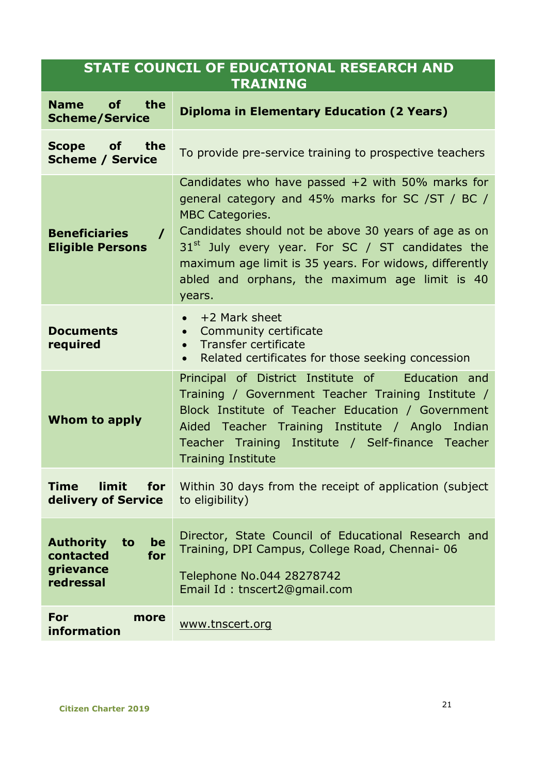#### **STATE COUNCIL OF EDUCATIONAL RESEARCH AND TRAINING**

| <b>Name</b><br>οf<br>the<br><b>Scheme/Service</b>                          | <b>Diploma in Elementary Education (2 Years)</b>                                                                                                                                                                                                                                                                                                                     |  |  |
|----------------------------------------------------------------------------|----------------------------------------------------------------------------------------------------------------------------------------------------------------------------------------------------------------------------------------------------------------------------------------------------------------------------------------------------------------------|--|--|
| <b>Scope</b><br>of<br>the<br><b>Scheme / Service</b>                       | To provide pre-service training to prospective teachers                                                                                                                                                                                                                                                                                                              |  |  |
| <b>Beneficiaries</b><br>$\prime$<br><b>Eligible Persons</b>                | Candidates who have passed $+2$ with 50% marks for<br>general category and 45% marks for SC /ST / BC /<br><b>MBC Categories.</b><br>Candidates should not be above 30 years of age as on<br>$31st$ July every year. For SC / ST candidates the<br>maximum age limit is 35 years. For widows, differently<br>abled and orphans, the maximum age limit is 40<br>years. |  |  |
| <b>Documents</b><br>required                                               | +2 Mark sheet<br>$\bullet$<br>Community certificate<br>$\bullet$<br>Transfer certificate<br>$\bullet$<br>Related certificates for those seeking concession<br>$\bullet$                                                                                                                                                                                              |  |  |
| Whom to apply                                                              | Principal of District Institute of<br>Education and<br>Training / Government Teacher Training Institute /<br>Block Institute of Teacher Education / Government<br>Aided Teacher Training Institute / Anglo Indian<br>Teacher Training Institute / Self-finance Teacher<br><b>Training Institute</b>                                                                  |  |  |
| limit<br>Time<br>for<br>delivery of Service                                | Within 30 days from the receipt of application (subject)<br>to eligibility)                                                                                                                                                                                                                                                                                          |  |  |
| <b>Authority</b><br>to<br>be<br>for<br>contacted<br>grievance<br>redressal | Director, State Council of Educational Research and<br>Training, DPI Campus, College Road, Chennai-06<br>Telephone No.044 28278742<br>Email Id: tnscert2@gmail.com                                                                                                                                                                                                   |  |  |
| For<br>more<br>information                                                 | www.tnscert.org                                                                                                                                                                                                                                                                                                                                                      |  |  |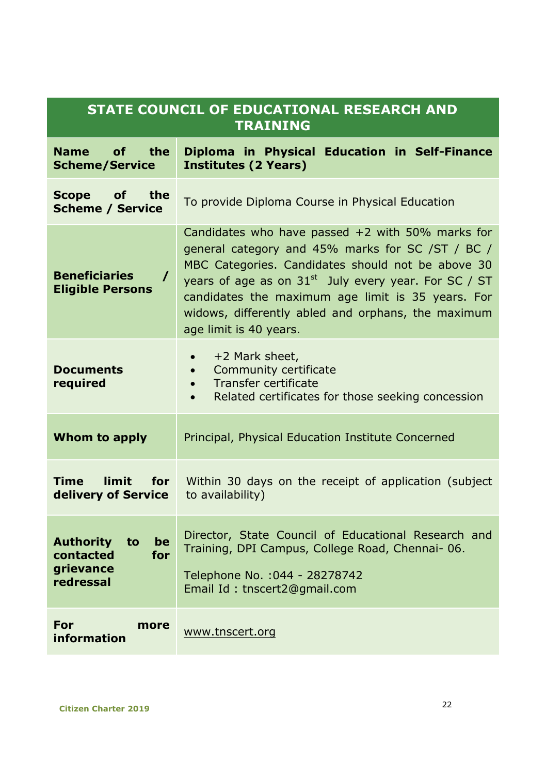| STATE COUNCIL OF EDUCATIONAL RESEARCH AND<br><b>TRAINING</b>               |                                                                                                                                                                                                                                                                                                                                                               |  |  |
|----------------------------------------------------------------------------|---------------------------------------------------------------------------------------------------------------------------------------------------------------------------------------------------------------------------------------------------------------------------------------------------------------------------------------------------------------|--|--|
| <b>Name</b><br>οf<br>the<br><b>Scheme/Service</b>                          | Diploma in Physical Education in Self-Finance<br><b>Institutes (2 Years)</b>                                                                                                                                                                                                                                                                                  |  |  |
| <b>Scope</b><br>οf<br>the<br><b>Scheme / Service</b>                       | To provide Diploma Course in Physical Education                                                                                                                                                                                                                                                                                                               |  |  |
| <b>Beneficiaries</b><br>$\prime$<br><b>Eligible Persons</b>                | Candidates who have passed $+2$ with 50% marks for<br>general category and 45% marks for SC /ST / BC /<br>MBC Categories. Candidates should not be above 30<br>years of age as on $31^{st}$ July every year. For SC / ST<br>candidates the maximum age limit is 35 years. For<br>widows, differently abled and orphans, the maximum<br>age limit is 40 years. |  |  |
| <b>Documents</b><br>required                                               | +2 Mark sheet,<br>$\bullet$<br>Community certificate<br>$\bullet$<br>Transfer certificate<br>$\bullet$<br>Related certificates for those seeking concession<br>$\bullet$                                                                                                                                                                                      |  |  |
| Whom to apply                                                              | Principal, Physical Education Institute Concerned                                                                                                                                                                                                                                                                                                             |  |  |
| limit<br>Time<br>for<br>delivery of Service                                | Within 30 days on the receipt of application (subject<br>to availability)                                                                                                                                                                                                                                                                                     |  |  |
| <b>Authority</b><br>to<br>be<br>contacted<br>for<br>grievance<br>redressal | Director, State Council of Educational Research and<br>Training, DPI Campus, College Road, Chennai-06.<br>Telephone No. : 044 - 28278742<br>Email Id: tnscert2@gmail.com                                                                                                                                                                                      |  |  |
| For<br>more<br>information                                                 | www.tnscert.org                                                                                                                                                                                                                                                                                                                                               |  |  |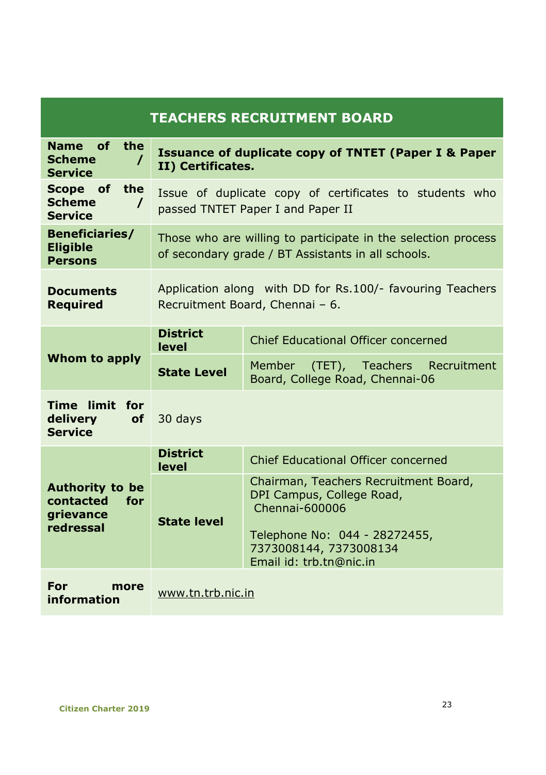| <b>TEACHERS RECRUITMENT BOARD</b>                                                  |                                                                                                                     |                                                                                                                                                                            |  |
|------------------------------------------------------------------------------------|---------------------------------------------------------------------------------------------------------------------|----------------------------------------------------------------------------------------------------------------------------------------------------------------------------|--|
| <b>Name</b><br>of<br>the<br><b>Scheme</b><br>T<br><b>Service</b>                   | <b>Issuance of duplicate copy of TNTET (Paper I &amp; Paper</b><br>II) Certificates.                                |                                                                                                                                                                            |  |
| Scope of<br>the<br><b>Scheme</b><br><b>Service</b>                                 | Issue of duplicate copy of certificates to students who<br>passed TNTET Paper I and Paper II                        |                                                                                                                                                                            |  |
| <b>Beneficiaries/</b><br><b>Eligible</b><br><b>Persons</b>                         | Those who are willing to participate in the selection process<br>of secondary grade / BT Assistants in all schools. |                                                                                                                                                                            |  |
| <b>Documents</b><br><b>Required</b>                                                | Application along with DD for Rs.100/- favouring Teachers<br>Recruitment Board, Chennai - 6.                        |                                                                                                                                                                            |  |
| Whom to apply                                                                      | <b>District</b><br>level                                                                                            | Chief Educational Officer concerned                                                                                                                                        |  |
|                                                                                    | <b>State Level</b>                                                                                                  | Member (TET), Teachers Recruitment<br>Board, College Road, Chennai-06                                                                                                      |  |
| Time limit for<br><b>delivery</b><br><b>of</b><br><b>Service</b>                   | 30 days                                                                                                             |                                                                                                                                                                            |  |
| <b>Authority to be</b><br>contacted<br><b>for</b><br><b>grievance</b><br>redressal | <b>District</b><br>level                                                                                            | Chief Educational Officer concerned                                                                                                                                        |  |
|                                                                                    | <b>State level</b>                                                                                                  | Chairman, Teachers Recruitment Board,<br>DPI Campus, College Road,<br>Chennai-600006<br>Telephone No: 044 - 28272455,<br>7373008144, 7373008134<br>Email id: trb.tn@nic.in |  |
| <b>For</b><br>more<br>information                                                  | www.tn.trb.nic.in                                                                                                   |                                                                                                                                                                            |  |